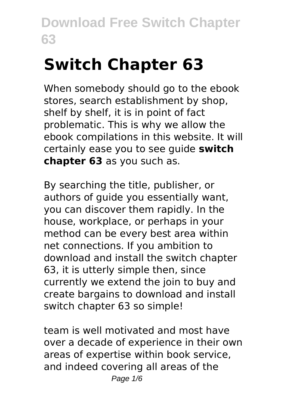# **Switch Chapter 63**

When somebody should go to the ebook stores, search establishment by shop, shelf by shelf, it is in point of fact problematic. This is why we allow the ebook compilations in this website. It will certainly ease you to see guide **switch chapter 63** as you such as.

By searching the title, publisher, or authors of guide you essentially want, you can discover them rapidly. In the house, workplace, or perhaps in your method can be every best area within net connections. If you ambition to download and install the switch chapter 63, it is utterly simple then, since currently we extend the join to buy and create bargains to download and install switch chapter 63 so simple!

team is well motivated and most have over a decade of experience in their own areas of expertise within book service, and indeed covering all areas of the Page  $1/6$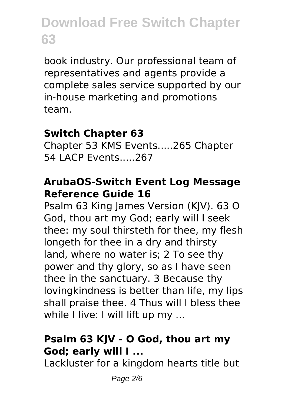book industry. Our professional team of representatives and agents provide a complete sales service supported by our in-house marketing and promotions team.

#### **Switch Chapter 63**

Chapter 53 KMS Events.....265 Chapter 54 LACP Events.....267

#### **ArubaOS-Switch Event Log Message Reference Guide 16**

Psalm 63 King James Version (KJV). 63 O God, thou art my God; early will I seek thee: my soul thirsteth for thee, my flesh longeth for thee in a dry and thirsty land, where no water is; 2 To see thy power and thy glory, so as I have seen thee in the sanctuary. 3 Because thy lovingkindness is better than life, my lips shall praise thee. 4 Thus will I bless thee while I live: I will lift up my ...

### **Psalm 63 KJV - O God, thou art my God; early will I ...**

Lackluster for a kingdom hearts title but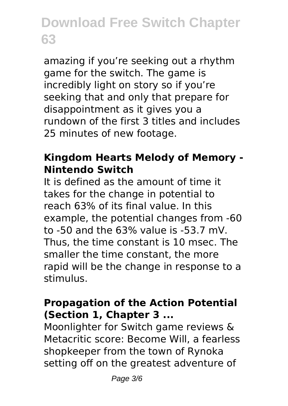amazing if you're seeking out a rhythm game for the switch. The game is incredibly light on story so if you're seeking that and only that prepare for disappointment as it gives you a rundown of the first 3 titles and includes 25 minutes of new footage.

#### **Kingdom Hearts Melody of Memory - Nintendo Switch**

It is defined as the amount of time it takes for the change in potential to reach 63% of its final value. In this example, the potential changes from -60 to -50 and the 63% value is -53.7 mV. Thus, the time constant is 10 msec. The smaller the time constant, the more rapid will be the change in response to a stimulus.

#### **Propagation of the Action Potential (Section 1, Chapter 3 ...**

Moonlighter for Switch game reviews & Metacritic score: Become Will, a fearless shopkeeper from the town of Rynoka setting off on the greatest adventure of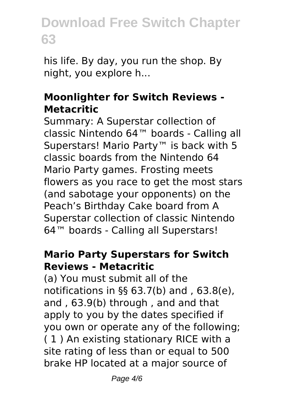his life. By day, you run the shop. By night, you explore h...

#### **Moonlighter for Switch Reviews - Metacritic**

Summary: A Superstar collection of classic Nintendo 64™ boards - Calling all Superstars! Mario Party™ is back with 5 classic boards from the Nintendo 64 Mario Party games. Frosting meets flowers as you race to get the most stars (and sabotage your opponents) on the Peach's Birthday Cake board from A Superstar collection of classic Nintendo 64™ boards - Calling all Superstars!

#### **Mario Party Superstars for Switch Reviews - Metacritic**

(a) You must submit all of the notifications in §§ 63.7(b) and , 63.8(e), and , 63.9(b) through , and and that apply to you by the dates specified if you own or operate any of the following; ( 1 ) An existing stationary RICE with a site rating of less than or equal to 500 brake HP located at a major source of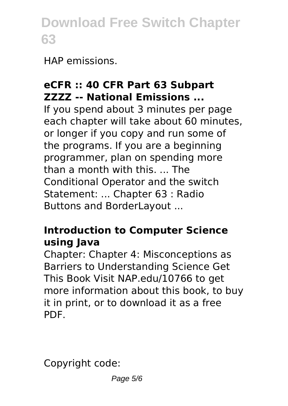HAP emissions.

### **eCFR :: 40 CFR Part 63 Subpart ZZZZ -- National Emissions ...**

If you spend about 3 minutes per page each chapter will take about 60 minutes, or longer if you copy and run some of the programs. If you are a beginning programmer, plan on spending more than a month with this. ... The Conditional Operator and the switch Statement: ... Chapter 63 : Radio Buttons and BorderLayout ...

### **Introduction to Computer Science using Java**

Chapter: Chapter 4: Misconceptions as Barriers to Understanding Science Get This Book Visit NAP.edu/10766 to get more information about this book, to buy it in print, or to download it as a free PDF.

Copyright code: